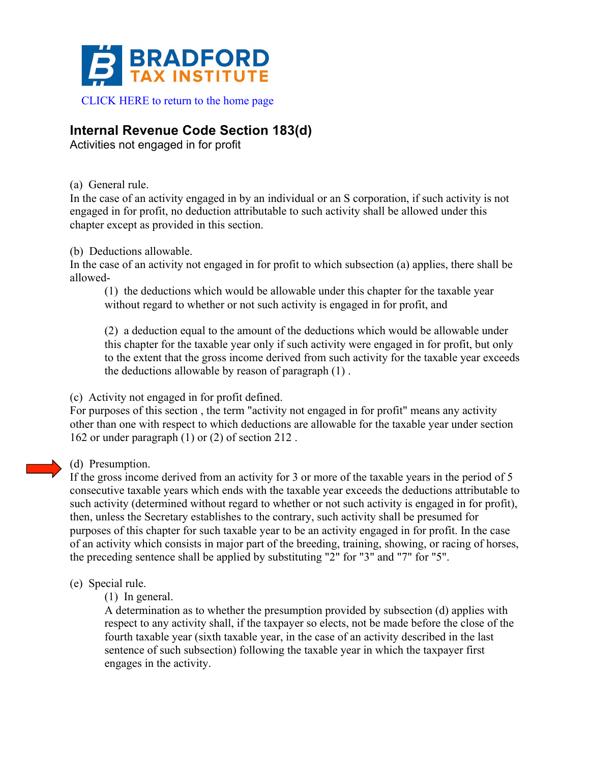

## **Internal Revenue Code Section 183(d)**

Activities not engaged in for profit

(a) General rule.

In the case of an activity engaged in by an individual or an S corporation, if such activity is not engaged in for profit, no deduction attributable to such activity shall be allowed under this chapter except as provided in this section.

(b) Deductions allowable.

In the case of an activity not engaged in for profit to which subsection (a) applies, there shall be allowed-

(1) the deductions which would be allowable under this chapter for the taxable year without regard to whether or not such activity is engaged in for profit, and

(2) a deduction equal to the amount of the deductions which would be allowable under this chapter for the taxable year only if such activity were engaged in for profit, but only to the extent that the gross income derived from such activity for the taxable year exceeds the deductions allowable by reason of paragraph (1) .

(c) Activity not engaged in for profit defined.

For purposes of this section , the term "activity not engaged in for profit" means any activity other than one with respect to which deductions are allowable for the taxable year under section 162 or under paragraph (1) or (2) of section 212 .

## (d) Presumption.

If the gross income derived from an activity for 3 or more of the taxable years in the period of 5 consecutive taxable years which ends with the taxable year exceeds the deductions attributable to such activity (determined without regard to whether or not such activity is engaged in for profit), then, unless the Secretary establishes to the contrary, such activity shall be presumed for purposes of this chapter for such taxable year to be an activity engaged in for profit. In the case of an activity which consists in major part of the breeding, training, showing, or racing of horses, the preceding sentence shall be applied by substituting "2" for "3" and "7" for "5".

(e) Special rule.

(1) In general.

A determination as to whether the presumption provided by subsection (d) applies with respect to any activity shall, if the taxpayer so elects, not be made before the close of the fourth taxable year (sixth taxable year, in the case of an activity described in the last sentence of such subsection) following the taxable year in which the taxpayer first engages in the activity.